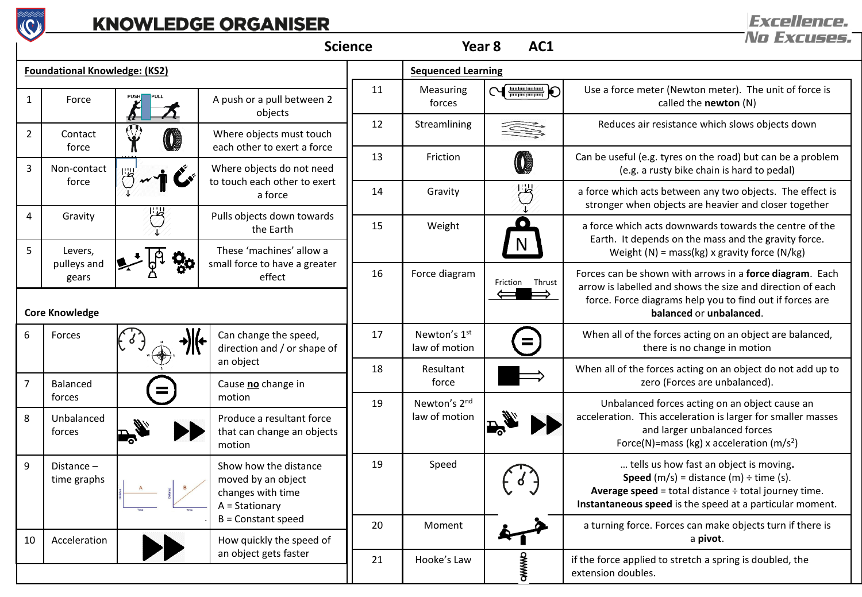

## **KNOWLEDGE ORGANISER**

| <b>Science</b>                       |                             |      |                                                                                    | AC1<br>Year <sub>8</sub> |                               | No Excuses      |                                                                                                                                                                                                                               |  |
|--------------------------------------|-----------------------------|------|------------------------------------------------------------------------------------|--------------------------|-------------------------------|-----------------|-------------------------------------------------------------------------------------------------------------------------------------------------------------------------------------------------------------------------------|--|
| <b>Foundational Knowledge: (KS2)</b> |                             |      |                                                                                    |                          | <b>Sequenced Learning</b>     |                 |                                                                                                                                                                                                                               |  |
| $\mathbf{1}$                         | Force                       | PULL | A push or a pull between 2<br>objects                                              | 11                       | Measuring<br>forces           | <b>CHANGED</b>  | Use a force meter (Newton meter). The unit of force is<br>called the newton (N)                                                                                                                                               |  |
| $\overline{2}$                       | Contact<br>force            |      | Where objects must touch<br>each other to exert a force                            | 12                       | Streamlining                  |                 | Reduces air resistance which slows objects down                                                                                                                                                                               |  |
| $\mathbf{3}$                         | Non-contact                 |      | Where objects do not need                                                          | 13                       | Friction                      |                 | Can be useful (e.g. tyres on the road) but can be a problem<br>(e.g. a rusty bike chain is hard to pedal)                                                                                                                     |  |
|                                      | force                       |      | to touch each other to exert<br>a force                                            | 14                       | Gravity                       | U.              | a force which acts between any two objects. The effect is<br>stronger when objects are heavier and closer together                                                                                                            |  |
| $\overline{4}$                       | Gravity                     |      | Pulls objects down towards<br>the Earth                                            | 15                       | Weight                        | $\bullet$       | a force which acts downwards towards the centre of the<br>Earth. It depends on the mass and the gravity force.                                                                                                                |  |
| 5                                    | Levers,<br>pulleys and      |      | These 'machines' allow a<br>small force to have a greater                          |                          |                               |                 | Weight (N) = mass(kg) x gravity force (N/kg)                                                                                                                                                                                  |  |
|                                      | gears                       |      | effect                                                                             | 16                       | Force diagram                 | Friction Thrust | Forces can be shown with arrows in a force diagram. Each<br>arrow is labelled and shows the size and direction of each                                                                                                        |  |
| <b>Core Knowledge</b>                |                             |      |                                                                                    |                          |                               |                 | force. Force diagrams help you to find out if forces are<br>balanced or unbalanced.                                                                                                                                           |  |
| 6                                    | Forces                      |      | Can change the speed,<br>direction and / or shape of                               | 17                       | Newton's 1st<br>law of motion |                 | When all of the forces acting on an object are balanced,<br>there is no change in motion                                                                                                                                      |  |
|                                      | Balanced                    |      | an object<br>Cause no change in                                                    | 18                       | Resultant<br>force            |                 | When all of the forces acting on an object do not add up to<br>zero (Forces are unbalanced).                                                                                                                                  |  |
|                                      | forces                      |      | motion                                                                             | 19                       | Newton's 2nd                  |                 | Unbalanced forces acting on an object cause an                                                                                                                                                                                |  |
| 8                                    | Unbalanced<br>forces        |      | Produce a resultant force<br>that can change an objects<br>motion                  |                          | law of motion                 |                 | acceleration. This acceleration is larger for smaller masses<br>and larger unbalanced forces<br>Force(N)=mass (kg) x acceleration (m/s <sup>2</sup> )                                                                         |  |
| q                                    | Distance $-$<br>time graphs |      | Show how the distance<br>moved by an object<br>changes with time<br>A = Stationary | 19                       | Speed                         |                 | tells us how fast an object is moving.<br><b>Speed</b> $(m/s) = distance (m) \div time (s)$ .<br><b>Average speed</b> = total distance $\div$ total journey time.<br>Instantaneous speed is the speed at a particular moment. |  |
| 10                                   | Acceleration                |      | B = Constant speed<br>How quickly the speed of                                     | 20                       | Moment                        |                 | a turning force. Forces can make objects turn if there is<br>a pivot.                                                                                                                                                         |  |
|                                      |                             |      | an object gets faster                                                              | 21                       | Hooke's Law                   | OWWWO           | if the force applied to stretch a spring is doubled, the<br>extension doubles.                                                                                                                                                |  |

**Excellence.**